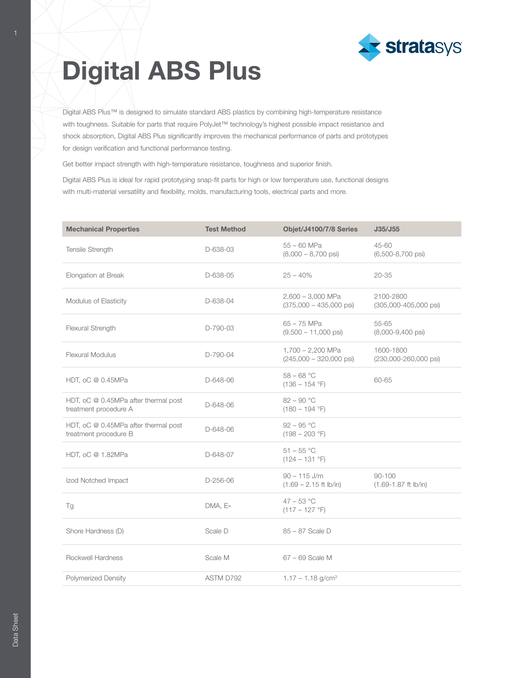

## Digital ABS Plus

Digital ABS Plus™ is designed to simulate standard ABS plastics by combining high-temperature resistance with toughness. Suitable for parts that require PolyJet™ technology's highest possible impact resistance and shock absorption, Digital ABS Plus significantly improves the mechanical performance of parts and prototypes for design verification and functional performance testing.

Get better impact strength with high-temperature resistance, toughness and superior finish.

Digital ABS Plus is ideal for rapid prototyping snap-fit parts for high or low temperature use, functional designs with multi-material versatility and flexibility, molds, manufacturing tools, electrical parts and more.

| <b>Mechanical Properties</b>                                  | <b>Test Method</b> | Objet/J4100/7/8 Series                                   | J35/J55                                |
|---------------------------------------------------------------|--------------------|----------------------------------------------------------|----------------------------------------|
| Tensile Strength                                              | D-638-03           | $55 - 60$ MPa<br>$(8,000 - 8,700 \text{ psi})$           | 45-60<br>$(6,500-8,700 \text{ psi})$   |
| Elongation at Break                                           | D-638-05           | $25 - 40%$                                               | $20 - 35$                              |
| Modulus of Elasticity                                         | D-638-04           | $2,600 - 3,000$ MPa<br>$(375,000 - 435,000 \text{ psi})$ | 2100-2800<br>(305,000-405,000 psi)     |
| Flexural Strength                                             | D-790-03           | $65 - 75$ MPa<br>$(9,500 - 11,000$ psi                   | 55-65<br>$(8,000-9,400 \text{ psi})$   |
| <b>Flexural Modulus</b>                                       | D-790-04           | $1,700 - 2,200$ MPa<br>$(245,000 - 320,000 \text{ psi})$ | 1600-1800<br>(230,000-260,000 psi)     |
| HDT, oC @ 0.45MPa                                             | D-648-06           | $58 - 68 °C$<br>$(136 - 154$ °F)                         | 60-65                                  |
| HDT, oC @ 0.45MPa after thermal post<br>treatment procedure A | D-648-06           | $82 - 90 °C$<br>$(180 - 194$ °F)                         |                                        |
| HDT, oC @ 0.45MPa after thermal post<br>treatment procedure B | D-648-06           | $92 - 95 °C$<br>$(198 - 203 \degree F)$                  |                                        |
| HDT, oC @ 1.82MPa                                             | D-648-07           | $51 - 55 °C$<br>$(124 - 131 \degree F)$                  |                                        |
| Izod Notched Impact                                           | $D-256-06$         | $90 - 115$ J/m<br>$(1.69 - 2.15$ ft lb/in)               | $90 - 100$<br>$(1.69 - 1.87$ ft lb/in) |
| Tg                                                            | DMA, E»            | $47 - 53 °C$<br>$(117 - 127$ °F)                         |                                        |
| Shore Hardness (D)                                            | Scale D            | 85 - 87 Scale D                                          |                                        |
| Rockwell Hardness                                             | Scale M            | 67 - 69 Scale M                                          |                                        |
| <b>Polymerized Density</b>                                    | ASTM D792          | $1.17 - 1.18$ g/cm <sup>3</sup>                          |                                        |